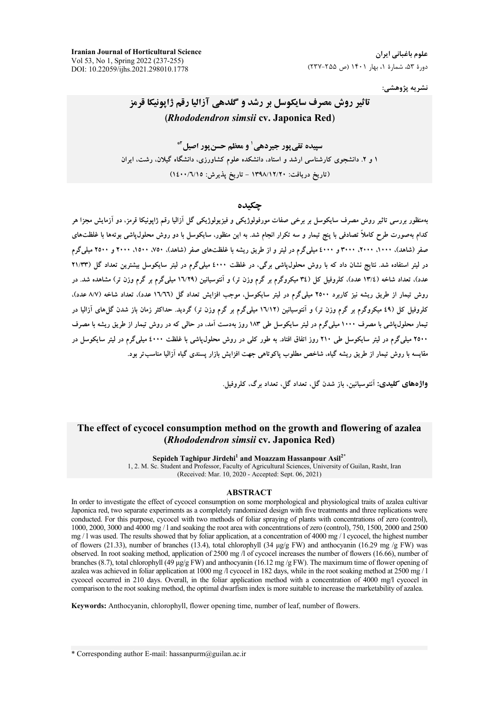**Iranian Journal of Horticultural Science** Vol 53, No 1, Spring 2022 (237-255) DOI: 10.22059/ijhs.2021.298010.1778

نشريه پژوهشي:

## تاثیر روش مصرف سایکوسل بر رشد و گلدهی آزالیا رقم ژاپونیکا قرمز (Rhododendron simsii cv. Japonica Red)

سيبده تقي بور جيردهي' و معظم حسن بور اصيل<sup>1</sup>\* ۱ و ۲. دانشجوی کارشناسی ارشد و استاد، دانشکده علوم کشاورزی، دانشگاه گیلان، رشت، ایران (تاريخ دريافت: ١٣٩٨/١٢/٢٠ - تاريخ پذيرش: ١٤٠٠/٦/١٥)

#### حكىدە

بهمنظور بررسی تاثیر روش مصرف سایکوسل بر برخی صفات مورفولوژیکی و فیزیولوژیکی گل آزالیا رقم ژاپونیکا قرمز، دو آزمایش مجزا هر .<br>کدام بهصورت طرح کاملاً تصادفی با پنج تیمار و سه تکرار انجام شد. به این منظور، سایکوسل با دو روش محلول،پاشی بوتهها با غلظتهای صفر (شاهد)، ۱۰۰۰، ۲۰۰۰، ۳۰۰۰ و ٤٠٠۰ میلی گرم در لیتر و از طریق ریشه با غلظتهای صفر (شاهد)، ۷۵۰، ۲۵۰۰، ۲۰۰۰ و ۲۵۰۰ میلی گرم در لیتر استفاده شد. نتایج نشان داد که با روش محلول،پاشی برگی، در غلظت ٤٠٠٠ میلیگرم در لیتر سایکوسل بیشترین تعداد گل (٢١/٣٣ عدد)، تعداد شاخه (١٣/٤ عدد)، کلروفيل کل (٣٤ ميکروگرم بر گرم وزن تر) و اَنتوسيانين (١٦/٢٩ ميلي گرم بر گرم وزن تر) مشاهده شد. در روش تیمار از طریق ریشه نیز کاربرد ۲۵۰۰ میلی گرم در لیتر سایکوسل، موجب افزایش تعداد گل (۱٬۷۲۲ عدد)، تعداد شاخه (۸/۷ عدد)، کلروفیل کل (٤٩ میکروگرم بر گرم وزن تر) و آنتوسیانین (١٦/١٢ میلیگرم بر گرم وزن تر) گردید. حداکثر زمان باز شدن گل های آزالیا در تیمار محلول،پاشی با مصرف ۱۰۰۰ میلی گرم در لیتر سایکوسل طی ۱۸۳ روز بهدست آمد، در حالی که در روش تیمار از طریق ریشه با مصرف ۲۵۰۰ میلی گرم در لیتر سایکوسل طی ۲۱۰ روز اتفاق افتاد. به طور کلی در روش محلول یاشی با غلظت ٤٠٠٠ میلی گرم در لیتر سایکوسل در .<br>مقایسه با روش تیمار از طریق ریشه گیاه، شاخص مطلوب پاکوتاهی جهت افزایش بازار پسندی گیاه آزالیا مناسبتر بود.

واژەهاي **كليد**ى: آنتوسانىن باز شدن گل تعداد گل تعداد پ گ، كلروفيل

## The effect of cycocel consumption method on the growth and flowering of azalea (*Rhododendron simsii cv. Japonica Red*)

Sepideh Taghipur Jirdehi<sup>1</sup> and Moazzam Hassanpour Asil<sup>2\*</sup>

1, 2. M. Sc. Student and Professor, Faculty of Agricultural Sciences, University of Guilan, Rasht, Iran (Received: Mar. 10, 2020 - Accepted: Sept. 06, 2021)

#### **ABSTRACT**

In order to investigate the effect of cycocel consumption on some morphological and physiological traits of azalea cultivar Japonica red, two separate experiments as a completely randomized design with five treatments and three replications were conducted. For this purpose, cycocel with two methods of foliar spraying of plants with concentrations of zero (control), 1000, 2000, 3000 and 4000 mg / 1 and soaking the root area with concentrations of zero (control), 750, 1500, 2000 and 2500 mg / 1 was used. The results showed that by foliar application, at a concentration of 4000 mg / 1 cycocel, the highest number of flowers (21.33), number of branches (13.4), total chlorophyll (34 µg/g FW) and anthocyanin (16.29 mg/g FW) was observed. In root soaking method, application of 2500 mg /l of cycocel increases the number of flowers (16.66), number of branches (8.7), total chlorophyll (49  $\mu$ g/g FW) and anthocyanin (16.12 mg/g FW). The maximum time of flower opening of azalea was achieved in foliar application at 1000 mg /l cycocel in 182 days, while in the root soaking method at  $2500$  mg / l cycocel occurred in 210 days. Overall, in the foliar application method with a concentration of 4000 mg/l cycocel in comparison to the root soaking method, the optimal dwarfism index is more suitable to increase the marketability of azalea.

Keywords: Anthocyanin, chlorophyll, flower opening time, number of leaf, number of flowers.

\* Corresponding author E-mail: hassanpurm@guilan.ac.ir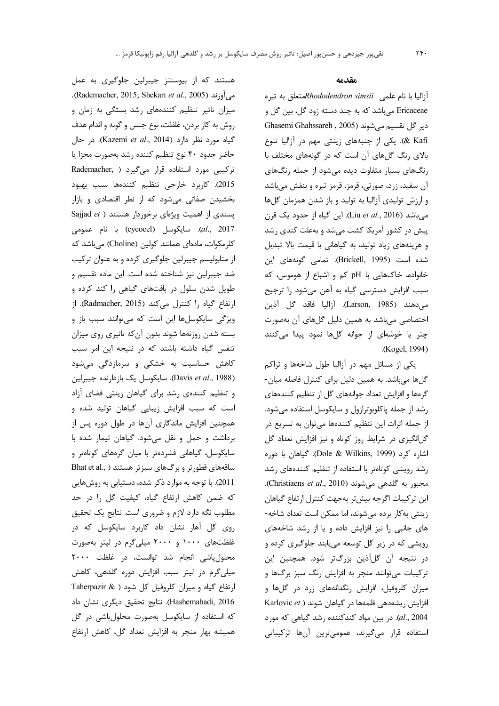هستند که از بیوسنتز جیبرلین جلوگیری به عمل . (Rademacher, 2015; Shekari et al., 2005). میزان تاثیر تنظیم کنندههای رشد بستگی به زمان و روش به كار بردن، غلظت، نوع جنس و گونه و اندام هدف گیاه مورد نظر دارد (Kazemi et al., 2014). در حال حاضر حدود ۴۰ نوع تنظيم كننده رشد بهصورت مجزا يا ترکیبی مورد استفاده قرار میگیرد ( Rademacher, 2015). كاربرد خارجي تنظيم كنندهها سبب بهبود بخشیدن صفاتی می شود که از نظر اقتصادی و بازار Sajjad et ) پسندی از اهمیت ویژهای برخوردار هستند al., 2017). سايكوسل (cycocel) با نام عمومى كلرمكوات، مادهاى همانند كولين (Choline) مى باشد كه از متابولیسم جیبرلین جلوگیری کرده و به عنوان ترکیب ضد جيبرلين نيز شناخته شده است. اين ماده تقسيم و طویل شدن سلول در بافتهای گیاهی را کند کرده و ارتفاع گیاه را کنترل می کند (Radmacher, 2015). از ویژگی سایکوسلها این است که می توانند سبب باز و بسته شدن روزنهها شوند بدون آنكه تاثيري روى ميزان تنفس گیاه داشته باشند که در نتیجه این امر سبب کاهش حساسیت به خشکی و سرمازدگی می شود (Davis et al., 1988). سايكوسل يك بازدارنده جيبرلين و تنظیم کنندهی رشد برای گیاهان زینتی فضای آزاد است که سبب افزایش زیبایی گیاهان تولید شده و همچنین افزایش ماندگاری آنها در طول دوره پس از برداشت وحمل ونقل میشود. گیاهان تیمار شده با سایکوسل، گیاهانی فشردهتر با میان گرههای کوتاهتر و ساقههای قطورتر و برگهای سبزتر هستند ( ,Bhat et al 2011). با توجه به موارد ذکر شده، دستیابی به روشهایی که ضمن کاهش ارتفاع گیاه، کیفیت گل را در حد مطلوب نگه دارد لازم و ضروری است. نتایج یک تحقیق روی گل آهار نشان داد کاربرد سایکوسل که در غلظتهای ۱۰۰۰ و ۲۰۰۰ میلی گرم در لیتر بهصورت محلول یاشی انجام شد توانست، در غلظت ۲۰۰۰ میلی گرم در لیتر سبب افزایش دوره گلدهی، کاهش ارتفاع گیاه و میزان کلروفیل کل شود ( Taherpazir & Hashemabadi, 2016). نتايج تحقيق ديگرى نشان داد که استفاده از سایکوسل بهصورت محلولپاشی در گل

همیشه بهار منجر به افزایش تعداد گل، کاهش ارتفاع

#### مقدمه

آزالیا با نام علمی Rhododendron simsiiمتعلق به تیره Ericaceae میباشد که به چند دسته زود گل، بین گل و Ghasemi Ghahssareh , 2005) دير گل تقسيم مي شوند & Kafi). یکی از جنبههای زینتی مهم در آزالیا تنوع بالای رنگ گلهای آن است که در گونههای مختلف با رنگ های بسیار متفاوت دیده می شود از جمله رنگ های آن سفید، زرد، صورتی، قرمز، قرمز تیره و بنفش میباشد و ارزش تولیدی آزالیا به تولید و باز شدن همزمان گلها می باشد (Liu et al., 2016). این گیاه از حدود یک قرن پیش در کشور آمریکا کشت میشد و بهعلت کندی رشد و هزینههای زیاد تولید، به گیاهانی با قیمت بالا تبدیل شده است (Brickell, 1995). تمامی گونههای این خانواده، خاکهایی با pH کم و اشباع از هوموس، که سبب افزایش دسترسی گیاه به آهن میشود را ترجیح مي دهند (Larson, 1985). آزاليا فاقد گل آذين اختصاصی می باشد به همین دلیل گلهای آن بهصورت چتر یا خوشهای از جوانه گلها نمود پیدا میکنند .(Kogel, 1994)

یکی از مسائل مهم در آزالیا طول شاخهها و تراکم گلها میباشد. به همین دلیل برای کنترل فاصله میان-گرمها و افزایش تعداد جوانههای گل از تنظیم کنندههای رشد از جمله پاکلوبوترازول و سایکوسل استفاده میشود. از جمله اثرات این تنظیم کنندهها می توان به تسریع در گلانگیزی در شرایط روز کوتاه و نیز افزایش تعداد گل اشاره کرد (Dole & Wilkins, 1999). گیاهان با دوره رشد رویشی کوتاهتر با استفاده از تنظیم کنندههای رشد مجبور به گلدهی می شوند (Christiaens et al., 2010). این ترکیبات اگرچه بیشتر بهجهت کنترل ارتفاع گیاهان زینتی به کار برده میشوند، اما ممکن است تعداد شاخه-های جانبی را نیز افزایش داده و یا از رشد شاخههای رویشی که در زیر گل توسعه می یابند جلوگیری کرده و در نتيجه آن گلآذين بزرگتر شود. همچنين اين ترکیبات می توانند منجر به افزایش رنگ سبز برگها و میزان کلروفیل، افزایش رنگدانههای زرد در گلها و افزایش ریشهدهی قلمهها در گیاهان شوند ( Karlovic et al., 2004). در بین مواد کندکننده رشد گیاهی که مورد استفاده قرار میگیرند، عمومیترین آنها ترکیباتی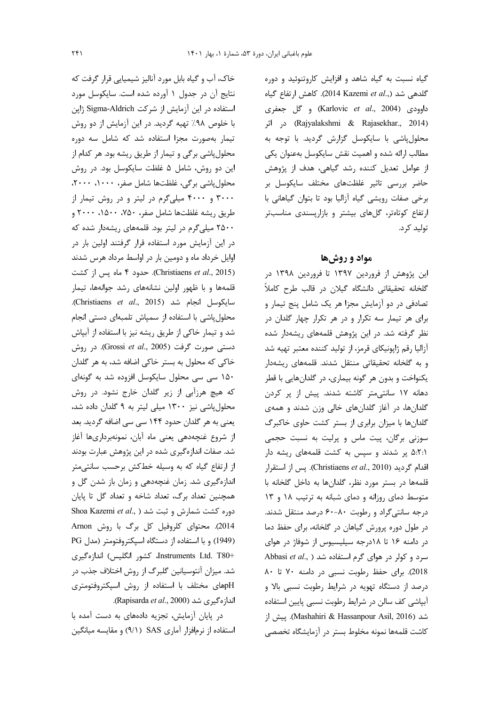گیاه نسبت به گیاه شاهد و افزایش کاروتنوئید و دوره گلدهی شد (,.2014 Kazemi et al). كاهش ارتفاع گیاه داوودي (Karlovic et al., 2004) و گل جعفري (Rajyalakshmi & Rajasekhar., 2014) در اثر محلول پاشی با سایکوسل گزارش گردید. با توجه به مطالب ارائه شده و اهمیت نقش سایکوسل بهعنوان یکی از عوامل تعدیل کننده رشد گیاهی، هدف از پژوهش حاضر بررسی تاثیر غلظتهای مختلف سایکوسل بر برخی صفات رویشی گیاه آزالیا بود تا بتوان گیاهانی با ارتفاع کوتاهتر، گلهای بیشتر و بازارپسندی مناسبتر تولید کرد.

### مواد و روشها

این پژوهش از فروردین ۱۳۹۷ تا فروردین ۱۳۹۸ در گلخانه تحقیقاتی دانشگاه گیلان در قالب طرح کاملاً تصادفی در دو آزمایش مجزا هر یک شامل پنج تیمار و برای هر تیمار سه تکرار و در هر تکرار چهار گلدان در نظر گرفته شد. در این پژوهش قلمههای ریشهدار شده آزالیا رقم ژاپونیکای قرمز، از تولید کننده معتبر تهیه شد و به گلخانه تحقیقاتی منتقل شدند. قلمههای ریشهدار یکنواخت و بدون هر گونه بیماری، در گلدانهایی با قطر دهانه ۱۷ سانتی متر کاشته شدند. پیش از پر کردن گلدانها، در آغاز گلدانهای خالی وزن شدند و همهی گلدانها با میزان برابری از بستر کشت حاوی خاکبرگ سوزنی برگان، پیت ماس و پرلیت به نسبت حجمی ۵:۲:۱ پر شدند و سپس به کشت قلمههای ریشه دار اقدام گردید (Christiaens et al., 2010). پس از استقرار قلمهها در بستر مورد نظر، گلدانها به داخل گلخانه با متوسط دمای روزانه و دمای شبانه به ترتیب ١٨ و ١٣ درجه سانتیگراد و رطوبت ۸۰-۶۰ درصد منتقل شدند. در طول دوره پرورش گیاهان در گلخانه، برای حفظ دما در دامنه ۱۶ تا ۱۸درجه سیلیسیوس از شوفاژ در هوای Abbasi et al., ) سرد و کولر در هوای گرم استفاده شد 2018). برای حفظ رطوبت نسبی در دامنه ۷۰ تا ۸۰ درصد از دستگاه تهویه در شرایط رطوبت نسبی بالا و آبپاشی کف سالن در شرایط رطوبت نسبی پایین استفاده شد (Mashahiri & Hassanpour Asil, 2016). پیش از كاشت قلمهها نمونه مخلوط بستر در آزمايشگاه تخصصى

خاک، آب و گیاه بابل مورد آنالیز شیمیایی قرار گرفت که نتايج آن در جدول ١ آورده شده است. سايكوسل مورد استفاده در این آزمایش از شرکت Sigma-Aldrich ژاپن با خلوص ۹۸٪ تهیه گردید. در این آزمایش از دو روش تیمار بهصورت مجزا استفاده شد که شامل سه دوره محلول پاشی برگی و تیمار از طریق ریشه بود. هر کدام از این دو روش، شامل ۵ غلظت سایکوسل بود. در روش محلول پاشی برگی، غلظتها شامل صفر، ١٠٠٠، ٢٠٠٠، ۳۰۰۰ و ۴۰۰۰ میلیگرم در لیتر و در روش تیمار از طريق ريشه غلظتها شامل صفر، ٧۵٠، ١۵٠٠، ٢٠٠٠ و ۲۵۰۰ میلیگرم در لیتر بود. قلمههای ریشهدار شده که در این آزمایش مورد استفاده قرار گرفتند اولین بار در اوایل خرداد ماه و دومین بار در اواسط مرداد هرس شدند (Christiaens et al., 2015). حدود ۴ ماه پس از کشت قلمهها وبا ظهور اولین نشانههای رشد جوانهها، تیمار سايكوسل انجام شد (Christiaens et al., 2015). محلول یاشی با استفاده از سمیاش تلمبهای دستی انجام شد و تیمار خاکی از طریق ریشه نیز با استفاده از آبپاش دستی صورت گرفت (Grossi et al., 2005). در روش خاکي که محلول به بستر خاکي اضافه شد، به هر گلدان ۱۵۰ سی سی محلول سایکوسل افزوده شد به گونهای که هیچ هرزآبی از زیر گلدان خارج نشود. در روش محلول پاشی نیز ۱۳۰۰ میلی لیتر به ۹ گلدان داده شد، یعنی به هر گلدان حدود ۱۴۴ سی سی اضافه گردید. بعد از شروع غنچهدهی یعنی ماه آبان، نمونهبرداریها آغاز شد. صفات اندازهگیری شده در این پژوهش عبارت بودند از ارتفاع گیاه که به وسیله خطکش برحسب سانتیمتر اندازهگیری شد. زمان غنچهدهی و زمان باز شدن گل و همچنین تعداد برگ، تعداد شاخه و تعداد گل تا پایان Shoa Kazemi et al., ) دوره کشت شمارش و ثبت شد 2014). محتوای کلروفیل کل برگ با روش Arnon (1949) وبا استفاده از دستگاه اسپکتروفتومتر (مدل PG Instruments Ltd. T80+ كشور انگليس) اندازهگيري شد. میزان آنتوسیانین گلبرگ از روش اختلاف جذب در pHهای مختلف با استفاده از روش اسپکتروفتومتری اندازەگىرى شد (Rapisarda et al., 2000).

در پایان آزمایش، تجزیه دادههای به دست آمده با استفاده از نرمافزار آماری SAS (۹/۱) و مقایسه میانگین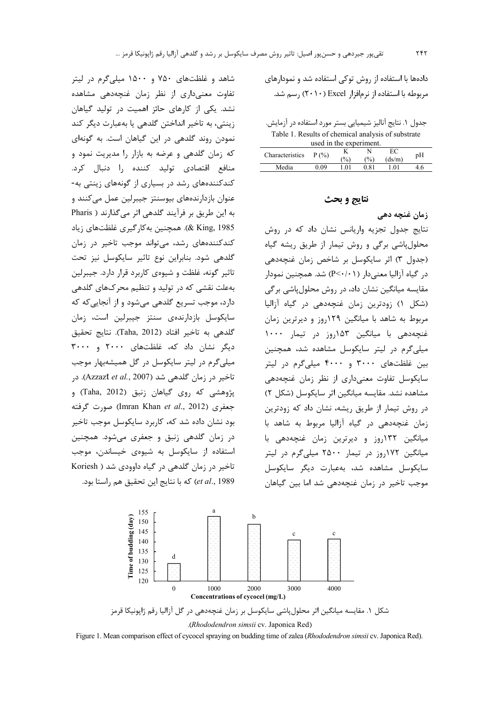شاهد و غلظتهای ۷۵۰ و ۱۵۰۰ میلی گرم در لیتر تفاوت معنى دارى از نظر زمان غنچه دهى مشاهده نشد. یکی از کارهای حائز اهمیت در تولید گیاهان زينتي، به تاخير انداختن گلدهي يا بهعبارت ديگر كند نمودن روند گلدهی در این گیاهان است. به گونهای که زمان گلدهی و عرضه به بازار را مدیریت نمود و منافع اقتصادی تولید کننده را دنبال کرد. کندکنندههای رشد در بسیاری از گونههای زینتی به-عنوان بازدارندههای بیوسنتز جیبرلین عمل می کنند و به این طریق بر فرآیند گلدهی اثر می گذارند ( Pharis 285 ,& King, 88). همچنین به کار گیری غلظتهای زیاد کندکنندههای رشد، می تواند موجب تاخیر در زمان گلدهی شود. بنابراین نوع تاثیر سایکوسل نیز تحت تاثیر گونه، غلظت و شیوهی کاربرد قرار دارد. جیبرلین بهعلت نقشی که در تولید و تنظیم محرکهای گلدهی دارد، موجب تسریع گلدهی می شود و از آنجایی که که سايكوسل بازدارندەي سنتز جيبرلين است، زمان گلدهی به تاخیر افتاد (Taha, 2012). نتایج تحقیق دیگر نشان داد که، غلظتهای ۲۰۰۰ و ۳۰۰۰ میلی گرم در لیتر سایکوسل در گل همیشهبهار موجب تاخير در زمان گلدهي شد (Azzazt et al., 2007). در پژوهشي که روي گياهان زنبق (Taha, 2012) و جعفری (Imran Khan et al., 2012) صورت گرفته بود نشان داده شد که، کاربرد سایکوسل موجب تاخیر در زمان گلدهی زنبق و جعفری می شود. همچنین استفاده از سایکوسل به شیوهی خیساندن، موجب تاخير در زمان گلدهي در گياه داوودي شد ( Koriesh

et al., 1989) كه با نتايج اين تحقيق هم راستا بود.

دادهها با استفاده از روش توکی استفاده شد و نمودارهای مربوطه با استفاده از نرمافزار Excel (۲۰۱۰) رسم شد.

جدول ١. نتايج آناليز شيميايي بستر مورد استفاده در آزمايش. Table 1. Results of chemical analysis of substrate used in the experiment

| used in the experiment. |         |       |      |              |     |  |  |  |
|-------------------------|---------|-------|------|--------------|-----|--|--|--|
| Characteristics         | $P($ %) | $\%$  | (%)  | EC<br>(ds/m) | pH  |  |  |  |
| Media                   | N 09    | 1 O 1 | 0.81 | $\Omega$     | 4.6 |  |  |  |

### نتايج و بحث

زمان غنچه دهی نتایج جدول تجزیه واریانس نشان داد که در روش محلول یاشی برگی و روش تیمار از طریق ریشه گیاه (جدول ٣) اثر سايكوسل بر شاخص زمان غنچەدھى در گیاه آزالیا معنی دار (P<۰/۰۱) شد. همچنین نمودار مقایسه میانگین نشان داد، در روش محلول پاشی برگی (شكل ١) زودترين زمان غنچەدهى در گياه آزاليا مربوط به شاهد با میانگین ۱۲۹روز و دیرترین زمان غنچەدهى با ميانگين ١۵٣روز در تيمار ١٠٠٠ میلیگرم در لیتر سایکوسل مشاهده شد، همچنین بین غلظتهای ۳۰۰۰ و ۴۰۰۰ میلی گرم در لیتر سایکوسل تفاوت معنی داری از نظر زمان غنچهدهی مشاهده نشد. مقایسه میانگین اثر سایکوسل (شکل ۲) در روش تیمار از طریق ریشه، نشان داد که زودترین زمان غنچهدهی در گیاه آزالیا مربوط به شاهد با میانگین ۱۳۲روز و دیرترین زمان غنچهدهی با میانگین ۱۷۲روز در تیمار ۲۵۰۰ میلیگرم در لیتر سايكوسل مشاهده شد، بهعبارت ديگر سايكوسل موجب تاخیر در زمان غنچهدهی شد اما بین گیاهان



Figure 1. Mean comparison effect of cycocel spraying on budding time of zalea (Rhododendron simsii cv. Japonica Red).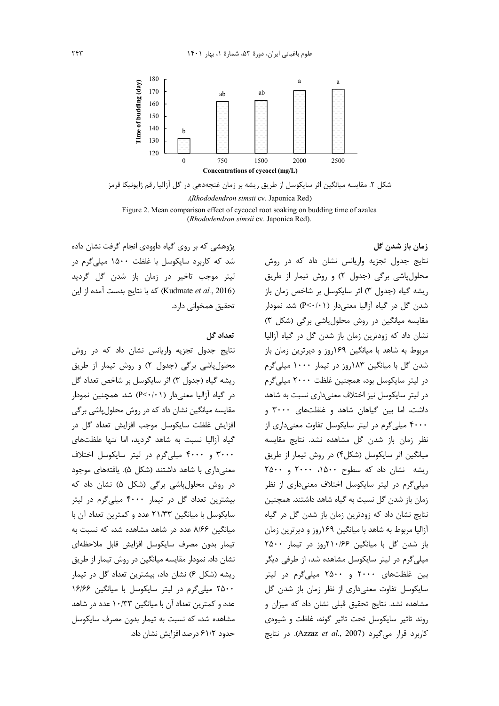

شکل ۲. مقایسه میانگین اثر سایکوسل از طریق ریشه بر زمان غنچهدهی در گل آزالیا رقم ژاپونیکا قرمز (Rhododendron simsii cv. Japonica Red). Figure 2. Mean comparison effect of cycocel root soaking on budding time of azalea (Rhododendron simsii cv. Japonica Red).

پژوهشی که بر روی گیاه داوودی انجام گرفت نشان داده شد که کاربرد سایکوسل با غلظت ۱۵۰۰ میلی گرم در ليتر موجب تاخير در زمان باز شدن گل گرديد (Kudmate et al., 2016) كه با نتايج بدست آمده از اين تحقيق همخواني دارد.

### تعداد گل

نتایج جدول تجزیه واریانس نشان داد که در روش محلول پاشی برگی (جدول ۲) و روش تیمار از طریق ريشه گياه (جدول ٣) اثر سايكوسل بر شاخص تعداد گل در گیاه آزالیا معنیدار (P<·/·۱) شد. همچنین نمودار مقایسه میانگین نشان داد که در روش محلول پاشی برگی افزايش غلظت سايكوسل موجب افزايش تعداد گل در گیاه آزالیا نسبت به شاهد گردید، اما تنها غلظتهای ۳۰۰۰ و ۴۰۰۰ میلی گرم در لیتر سایکوسل اختلاف معنی داری با شاهد داشتند (شکل ۵). یافتههای موجود در روش محلولپاشی برگی (شکل ۵) نشان داد که بیشترین تعداد گل در تیمار ۴۰۰۰ میلی گرم در لیتر سایکوسل با میانگین ۲۱/۳۳ عدد و کمترین تعداد آن با میانگین ۸/۶۶ عدد در شاهد مشاهده شد، که نسبت به تيمار بدون مصرف سايكوسل افزايش قابل ملاحظهاى نشان داد. نمودار مقایسه میانگین در روش تیمار از طریق ریشه (شکل ۶) نشان داد، بیشترین تعداد گل در تیمار ٢۵٠٠ ميلي گرم در ليتر سايكوسل با ميانگين ١۶/۶۶ عدد و کمترین تعداد آن با میانگین ۱۰/۳۳ عدد در شاهد مشاهده شد، که نسبت به تیمار بدون مصرف سایکوسل حدود ۶۱/۲ درصد افزایش نشان داد.

زمان باز شدن گل نتایج جدول تجزیه واریانس نشان داد که در روش محلول پاشی برگی (جدول ٢) و روش تیمار از طریق ريشه گياه (جدول ٣) اثر سايكوسل بر شاخص زمان باز شدن گل در گیاه آزالیا معنیدار (P<۰/۰۱) شد. نمودار مقایسه میانگین در روش محلولپاشی برگی (شکل ٣) نشان داد که زودترین زمان باز شدن گل در گیاه آزالیا مربوط به شاهد با میانگین ۱۶۹روز و دیرترین زمان باز شدن گل با میانگین ۱۸۳روز در تیمار ۱۰۰۰ میلیگرم در ليتر سايكوسل بود، همچنين غلظت ٢٠٠٠ ميلي گرم در لیتر سایکوسل نیز اختلاف معنیداری نسبت به شاهد داشت، اما بین گیاهان شاهد و غلظتهای ۳۰۰۰ و ۴۰۰۰ میلیگرم در لیتر سایکوسل تفاوت معنیداری از نظر زمان باز شدن گل مشاهده نشد. نتایج مقایسه میانگین اثر سایکوسل (شکل۴) در روش تیمار از طریق , یشه نشان داد که سطوح ۱۵۰۰، ۲۰۰۰ و ۲۵۰۰ میلیگرم در لیتر سایکوسل اختلاف معنیداری از نظر زمان باز شدن گل نسبت به گیاه شاهد داشتند. همچنین نتایج نشان داد که زودترین زمان باز شدن گل در گیاه آزالیا مربوط به شاهد با میانگین ۱۶۹روز و دیرترین زمان باز شدن گل با میانگین ۲۱۰/۶۶روز در تیمار ۲۵۰۰ میلیگرم در لیتر سایکوسل مشاهده شد، از طرفی دیگر بین غلظتهای ۲۰۰۰ و ۲۵۰۰ میلیگرم در لیتر سایکوسل تفاوت معنیداری از نظر زمان باز شدن گل مشاهده نشد. نتایج تحقیق قبلی نشان داد که میزان و روند تاثير سايكوسل تحت تاثير كونه، غلظت و شيوهي كاربرد قرار مى گيرد (Azzaz et al., 2007). در نتايج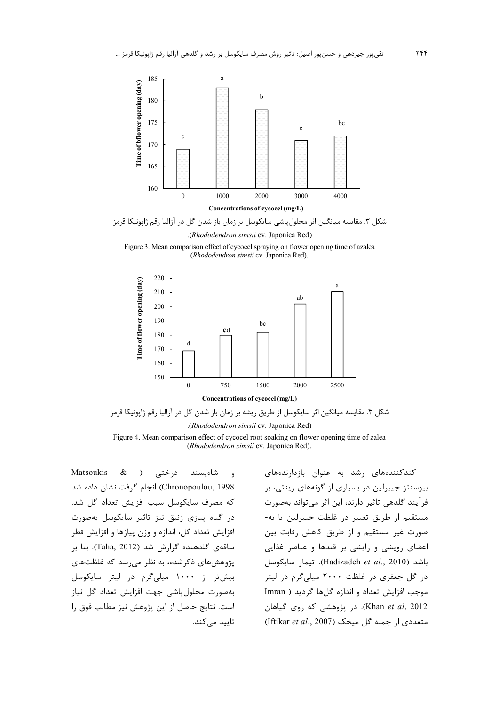

شکل ۳. مقایسه میانگین اثر محلول پاشی سایکوسل بر زمان باز شدن گل در آزالیا رقم ژاپونیکا قرمز (Rhododendron simsii cv. Japonica Red).

Figure 3. Mean comparison effect of cycocel spraying on flower opening time of azalea (Rhododendron simsii cv. Japonica Red).



شکل ۴. مقایسه میانگین اثر سایکوسل از طریق ریشه بر زمان باز شدن گل در آزالیا رقم ژاپونیکا قرمز (Rhododendron simsii cv. Japonica Red).

Figure 4. Mean comparison effect of cycocel root soaking on flower opening time of zalea (Rhododendron simsii cv. Japonica Red).

Matsoukis  $\&$ درختی ( شاەيسند  $\ddot{ }$ Chronopoulou, 1998) انجام گرفت نشان داده شد كه مصرف سايكوسل سبب افزايش تعداد گل شد. در گیاه پیازی زنبق نیز تاثیر سایکوسل بهصورت افزايش تعداد گل، اندازه و وزن پيازها و افزايش قطر ساقەي گلدھندە گزارش شد (Taha, 2012). بنا بر پژوهشهای ذکرشده، به نظر می رسد که غلظتهای بیش تر از ۱۰۰۰ میلی گرم در لیتر سایکوسل بەصورت محلول یاشی جهت افزایش تعداد گل نیاز است. نتايج حاصل از اين پژوهش نيز مطالب فوق را تاييد مے كند.

کندکنندههای رشد به عنوان بازدارندههای بیوسنتز جیبرلین در بسیاری از گونههای زینتی، بر فرآیند گلدهی تاثیر دارند، این اثر می تواند بهصورت مستقيم از طريق تغيير در غلظت جيبرلين يا به-صورت غیر مستقیم و از طریق کاهش رقابت بین اعضای رویشی و زایشی بر قندها و عناصز غذایی باشد (Hadizadeh et al., 2010). تيمار سايكوسل در گل جعفری در غلظت ۲۰۰۰ میلی گرم در لیتر موجب افزایش تعداد و اندازه گلها گردید ( Imran Khan et al, 2012). در پژوهشی که روی گیاهان متعددی از جمله گل میخک (Iftikar et al., 2007)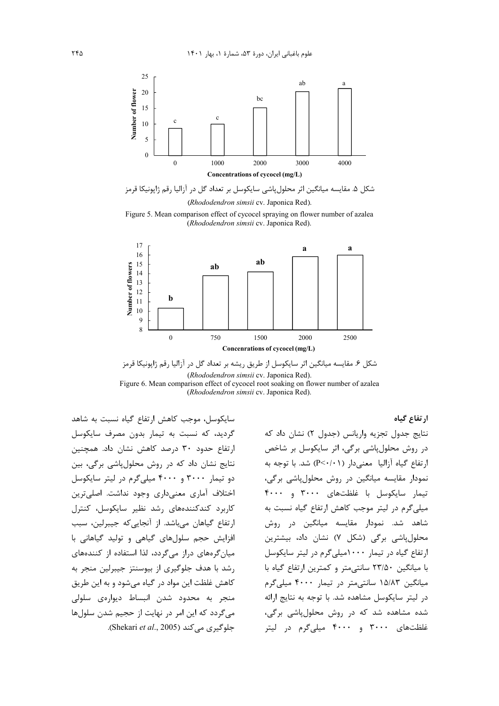

شکل ۵. مقایسه میانگین اثر محلول پاشی سایکوسل بر تعداد گل در آزالیا رقم ژاپونیکا قرمز (Rhododendron simsii cv. Japonica Red).

Figure 5. Mean comparison effect of cycocel spraying on flower number of azalea (Rhododendron simsii cv. Japonica Red).



شکل ۶. مقایسه میانگین اثر سایکوسل از طریق ریشه بر تعداد گل در آزالیا رقم ژاپونیکا قرمز (Rhododendron simsii cv. Japonica Red). Figure 6. Mean comparison effect of every root soaking on flower number of azalea (Rhododendron simsii cv. Japonica Red).

سایکوسل، موجب کاهش ارتفاع گیاه نسبت به شاهد گردید، که نسبت به تیمار بدون مصرف سایکوسل ارتفاع حدود ٣٠ درصد كاهش نشان داد. همچنين نتایج نشان داد که در روش محلول پاشی برگی، بین دو تیمار ۳۰۰۰ و ۴۰۰۰ میلیگرم در لیتر سایکوسل اختلاف آماری معنیداری وجود نداشت. اصلی ترین کاربرد کندکنندههای رشد نظیر سایکوسل، کنترل ارتفاع گیاهان میباشد. از آنجایی که جیبرلین، سبب افزایش حجم سلولهای گیاهی و تولید گیاهانی با میان گرمهای دراز میگردد، لذا استفاده از کنندههای رشد با هدف جلوگیری از بیوسنتز جیبرلین منجر به کاهش غلظت این مواد در گیاه می شود و به این طریق منجر به محدود شدن انبساط دیوارەی سلولی می گردد که این امر در نهایت از حجیم شدن سلولها .(Shekari et al., 2005). Shekari et al., 2005).

ارتفاع گیاه نتايج جدول تجزيه واريانس (جدول ٢) نشان داد كه در روش محلول پاشی برگی، اثر سایکوسل بر شاخص ارتفاع گیاه آزالیا معنے دار (P<٠/٠١) شد. با توجه به نمودار مقایسه میانگین در روش محلولپاشی برگی، تیمار سایکوسل با غلظتهای ۳۰۰۰ و ۴۰۰۰ میلی گرم در لیتر موجب کاهش ارتفاع گیاه نسبت به شاهد شد. نمودار مقایسه میانگین در روش محلول یاشی برگی (شکل ۷) نشان داد، بیشترین ارتفاع گیاه در تیمار ۱۰۰۰میلی گرم در لیتر سایکوسل با میانگین ۲۳/۵۰ سانتی متر و کمترین ارتفاع گیاه با میانگین ۱۵/۸۳ سانتی متر در تیمار ۴۰۰۰ میلی گرم در ليتر سايكوسل مشاهده شد. با توجه به نتايج ارائه شده مشاهده شد که در روش محلولپاشی برگی، غلظتهای ۳۰۰۰ و ۴۰۰۰ میلی گرم در لیتر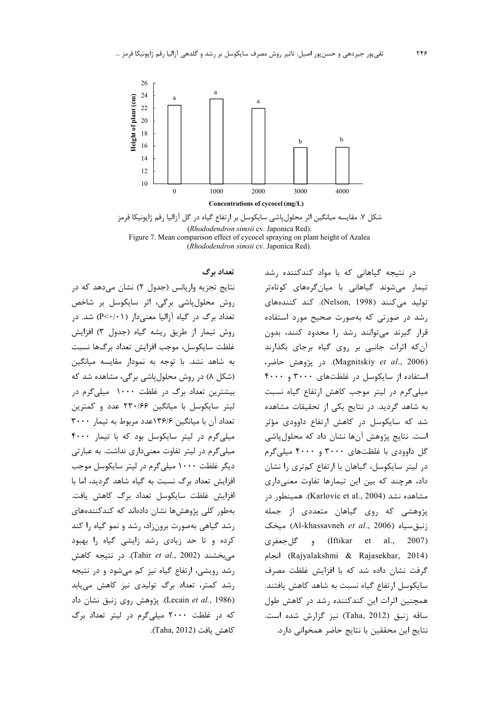

شکل ۷. مقایسه میانگین اثر محلولپاشی سایکوسل بر ارتفاع گیاه در گل آزالیا رقم ژاپونیکا قرمز (Rhododendron simsii cv. Japonica Red). Figure 7. Mean comparison effect of cycocel spraying on plant height of Azalea (Rhododendron simsii cv. Japonica Red).

تعداد برگ

نتايج تجزيه واريانس (جدول ٢) نشان مي دهد كه در روش محلولپاشی برگی، اثر سایکوسل بر شاخص تعداد برگ در گیاه آزالیا معنیدار (P<۰/۰۱) شد. در روش تيمار از طريق ريشه گياه (جدول ٣) افزايش غلظت سايكوسل، موجب افزايش تعداد برگها نسبت به شاهد نشد. با توجه به نمودار مقايسه ميانگين (شکل ۸) در روش محلول پاشی برگی، مشاهده شد که بیشترین تعداد برگ در غلظت ۱۰۰۰ میلی گرم در ليتر سايكوسل با ميانگين ۲۳۰/۶۶ عدد و كمترين تعداد آن با میانگین ۱۳۶/۶عدد مربوط به تیما, ۳۰۰۰ میلی گرم در لیتر سایکوسل بود که با تیمار ۴۰۰۰ میلیگرم در لیتر تفاوت معنیداری نداشت. به عبارتی دیگر غلظت ۱۰۰۰ میلی گرم در لیتر سایکوسل موجب افزایش تعداد برگ نسبت به گیاه شاهد گردید، اما با افزایش غلظت سایکوسل تعداد برگ کاهش یافت. بەطور كلى پژوهش،ها نشان دادەاند كە كندكنندەھاي رشد گیاهی بهصورت برونزاد، رشد و نمو گیاه را کند کرده و تا حد زیادی رشد زایشی گیاه را بهبود می بخشند (Tahir *et al.*, 2002). در نتیجه کاهش رشد رویشی، ارتفاع گیاه نیز کم می شود و در نتیجه رشد کمتر، تعداد برگ تولیدی نیز کاهش میبابد (Lecain et al., 1986). پژوهش روی زنبق نشان داد که در غلظت ۲۰۰۰ میلی گرم در لیتر تعداد برگ كاهش يافت (Taha, 2012).

در نتیجه گیاهانی که با مواد کندکننده رشد تیمار میشوند گیاهانی با میانگرههای کوتاهتر تولید میکنند (Nelson, 1998). کند کنندههای رشد در صورتی که بهصورت صحیح مورد استفاده قرار گیرند می توانند رشد را محدود کنند، بدون آن که اثرات جانبی بر روی گیاه برجای بگذارند (Magnitskiy et al., 2006). در پژوهش حاضر، استفاده از سایکوسل در غلظتهای ۳۰۰۰ و ۴۰۰۰ میلی گرم در لیتر موجب کاهش ارتفاع گیاه نسبت به شاهد گردید. در نتایج یکی از تحقیقات مشاهده شد که سایکوسل در کاهش ارتفاع داوودی مؤثر است. نتایج پژوهش آنها نشان داد که محلول پاشی گل داوودی با غلظتهای ۳۰۰۰ و ۴۰۰۰ میلی گرم در لیتر سایکوسل، گیاهان با ارتفاع کمتری را نشان داد، هرچند که بین این تیمارها تفاوت معنیداری مشاهده نشد (Karlovic et al., 2004). همینطور در پژوهشی که روی گیاهان متعددی از جمله زنبق سياه (Al-khassavneh et al., 2006) ميخک al., Iftikar et) و گل جعفری  $2007$ (Rajyalakshmi & Rajasekhar, 2014) انجام گرفت نشان داده شد که با افزایش غلظت مصرف سایکوسل ارتفاع گیاه نسبت به شاهد کاهش یافتند. همچنین اثرات این کندکننده رشد در کاهش طول ساقه زنبق (Taha, 2012) نيز گزارش شده است. نتايج اين محققين با نتايج حاضر همخواني دارد.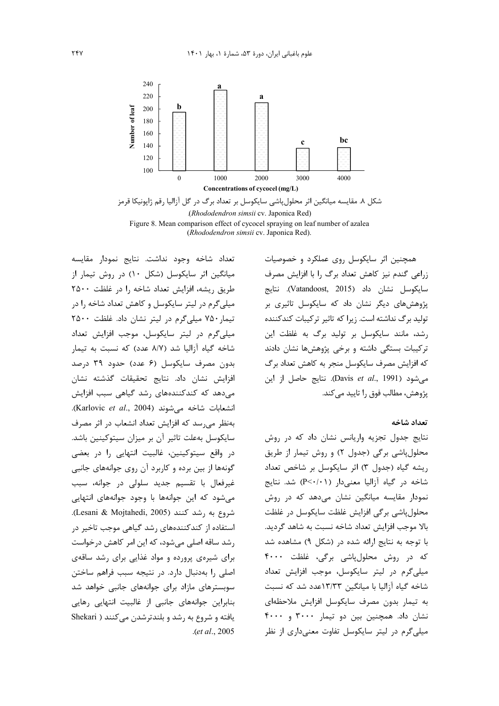

(Rhododendron simsii cv. Japonica Red) Figure 8. Mean comparison effect of cycocel spraying on leaf number of azalea (Rhododendron simsii cv. Japonica Red).

تعداد شاخه وجود نداشت. نتايج نمودار مقايسه میانگین اثر سایکوسل (شکل ۱۰) در روش تیمار از طريق ريشه، افزايش تعداد شاخه را در غلظت ٢۵٠٠ میلی گرم در لیتر سایکوسل و کاهش تعداد شاخه را در تیمار ۷۵۰ میلی گرم در لیتر نشان داد. غلظت ۲۵۰۰ میلیگرم در لیتر سایکوسل، موجب افزایش تعداد شاخه گیاه آزالیا شد (۸/۷ عدد) که نسبت به تیمار بدون مصرف سایکوسل (۶ عدد) حدود ۳۹ درصد افزایش نشان داد. نتایج تحقیقات گذشته نشان می دهد که کندکنندههای رشد گیاهی سبب افزایش انشعابات شاخه می شوند (Karlovic et al., 2004). بهنظر می رسد که افزایش تعداد انشعاب در اثر مصرف سایکوسل بهعلت تاثیر آن بر میزان سیتوکینین باشد. در واقع سیتوکینین، غالبیت انتهایی را در بعضی گونهها از بین برده و کاربرد آن روی جوانههای جانبی غيرفعال با تقسيم جديد سلولي در جوانه، سبب می شود که این جوانهها با وجود جوانههای انتهایی شروع به , شد كنند (Lesani & Mojtahedi, 2005). استفاده از کندکنندههای رشد گیاهی موجب تاخیر در رشد ساقه اصلی می شود، که این امر کاهش در خواست برای شیرهی پرورده و مواد غذایی برای رشد ساقهی اصلی را بهدنبال دارد. در نتیجه سبب فراهم ساختن سوبسترهای مازاد برای جوانههای جانبی خواهد شد بنابراین جوانههای جانبی از غالبیت انتهایی رهایی يافته و شروع به رشد و بلندترشدن مي كنند ( Shekari .(et al., 2005

همچنین اثر سایکوسل روی عملکرد و خصوصیات زراعی گندم نیز کاهش تعداد برگ را با افزایش مصرف سايكوسل نشان داد (Vatandoost, 2015). نتايج یژوهش های دیگر نشان داد که سایکوسل تاثیری بر تولید برگ نداشته است. زیرا که تاثیر ترکیبات کندکننده رشد، مانند سایکوسل بر تولید برگ به غلظت این ترکیبات بستگی داشته و برخی پژوهشها نشان دادند که افزایش مصرف سایکوسل منجر به کاهش تعداد برگ مي شود (Davis et al., 1991). نتايج حاصل از اين پژوهش، مطالب فوق را تاييد مي كند.

#### تعداد شاخه

نتایج جدول تجزیه واریانس نشان داد که در روش محلولپاشی برگی (جدول ۲) و روش تیمار از طریق ريشه گياه (جدول ٣) اثر سايكوسل بر شاخص تعداد شاخه در گیاه آزالیا معنی دار (P<۰/۰۱) شد. نتایج نمودار مقایسه میانگین نشان میدهد که در روش محلول پاشی برگی افزایش غلظت سایکوسل در غلظت بالا موجب افزایش تعداد شاخه نسبت به شاهد گردید. با توجه به نتایج ارائه شده در (شکل ۹) مشاهده شد که در روش محلولپاشی برگی، غلظت ۴۰۰۰ میلیگرم در لیتر سایکوسل، موجب افزایش تعداد شاخه گیاه آزالیا با میانگین ۱۳/۳۳عدد شد که نسبت به تیمار بدون مصرف سایکوسل افزایش ملاحظهای نشان داد. همچنین بین دو تیمار ۳۰۰۰ و ۴۰۰۰ میلی گرم در لیتر سایکوسل تفاوت معنیداری از نظر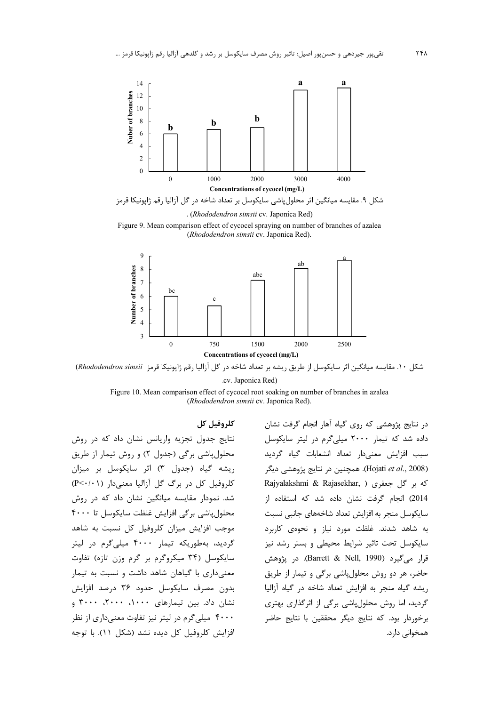

. (Rhododendron simsii cv. Japonica Red)

Figure 9. Mean comparison effect of cycocel spraying on number of branches of azalea (Rhododendron simsii cv. Japonica Red).



شكل ١٠. مقايسه ميانكين اثر سايكوسل از طريق ريشه بر تعداد شاخه در گل آزاليا رقم ژاپونيكا قرمز Rhododendron simsii) .cv. Japonica Red)

Figure 10. Mean comparison effect of cycocel root soaking on number of branches in azalea (Rhododendron simsii cv. Japonica Red).

كلروفيل كل

نتایج جدول تجزیه واریانس نشان داد که در روش محلول پاشی برگی (جدول ٢) و روش تیمار از طریق ریشه گیاه (جدول ٣) اثر سایکوسل بر میزان کلروفیل کل در برگ گل آزالیا معنیدار (P<٠/٠١) شد. نمودار مقایسه میانگین نشان داد که در روش محلول یاشی برگی افزایش غلظت سایکوسل تا ۴۰۰۰ موجب افزایش میزان کلروفیل کل نسبت به شاهد گردید، بهطوریکه تیمار ۴۰۰۰ میلی گرم در لیتر سایکوسل (۳۴ میکروگرم بر گرم وزن تازه) تفاوت معنی داری با گیاهان شاهد داشت و نسبت به تیمار بدون مصرف سايكوسل حدود ٣۶ درصد افزايش نشان داد. بین تیمارهای ۱۰۰۰، ۲۰۰۰، ۳۰۰۰ و ۴۰۰۰ میلی گرم در لیتر نیز تفاوت معنیداری از نظر افزایش کلروفیل کل دیده نشد (شکل ۱۱). با توجه

در نتایج پژوهشی که روی گیاه آهار انجام گرفت نشان داده شد که تیمار ۲۰۰۰ میلی گرم در لیتر سایکوسل سبب افزایش معنیدار تعداد انشعابات گیاه گردید (Hojati et al., 2008). همچنین در نتایج پژوهشی دیگر Rajyalakshmi & Rajasekhar, ) كه بر گل جعفرى 2014) انجام گرفت نشان داده شد که استفاده از سایکوسل منجر به افزایش تعداد شاخههای جانبی نسبت به شاهد شدند. غلظت مورد نیاز و نحوهی کاربرد سایکوسل تحت تاثیر شرایط محیطی و بستر رشد نیز قرار مي گيرد (Barrett & Nell, 1990). در يژوهش حاضر، هر دو روش محلول پاشی برگی و تیمار از طریق ريشه گياه منجر به افزايش تعداد شاخه در گياه آزاليا گردید، اما روش محلول پاشی برگی از اثرگذاری بهتری برخوردار بود. كه نتايج ديگر محققين با نتايج حاضر همخوانی دارد.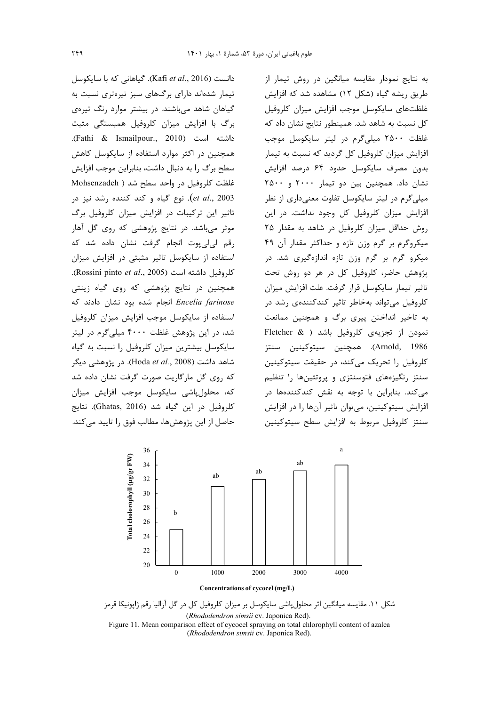دانست (Kafi et al., 2016). گیاهانی که با سایکوسل تیمار شدهاند دارای برگهای سبز تیرهتری نسبت به گیاهان شاهد میباشند. در بیشتر موارد رنگ تیرهی برگ با افزایش میزان کلروفیل همبستگی مثبت داشته است (Fathi & Ismailpour., 2010). همچنین در اکثر موارد استفاده از سایکوسل کاهش سطح برگ را به دنبال داشت، بنابراین موجب افزایش غلظت کلروفیل در واحد سطح شد ( Mohsenzadeh *et al.*, 2003). نوع گیاه و کند کننده رشد نیز در تاثیر این ترکیبات در افزایش میزان کلروفیل برگ موثر می باشد. در نتایج پژوهشی که روی گل آهار رقم لی لی یوت انجام گرفت نشان داده شد که استفاده از سایکوسل تاثیر مثبتی در افزایش میزان .(Rossini pinto et al., 2005). همچنین در نتایج پژوهشی که روی گیاه زینتی Encelia farinose انجام شده بود نشان دادند که استفاده از سایکوسل موجب افزایش میزان کلروفیل شد، در این پژوهش غلظت ۴۰۰۰ میلی گرم در لیتر سایکوسل بیشترین میزان کلروفیل را نسبت به گیاه شاهد داشت (Hoda et al., 2008). در پژوهشی دیگر که روی گل مارگاریت صورت گرفت نشان داده شد كه، محلول یاشی سایکوسل موجب افزایش میزان كلروفيل در اين گياه شد (Ghatas, 2016). نتايج حاصل از این پژوهش ها، مطالب فوق را تایید می کند.

به نتایج نمودار مقایسه میانگین در روش تیمار از طریق ریشه گیاه (شکل ۱۲) مشاهده شد که افزایش غلظتهاى سايكوسل موجب افزايش ميزان كلروفيل کل نسبت به شاهد شد. همینطور نتایج نشان داد که غلظت ۲۵۰۰ میلی گرم در لیتر سایکوسل موجب افزایش میزان کلروفیل کل گردید که نسبت به تیمار بدون مصرف سايكوسل حدود ۶۴ درصد افزايش نشان داد. همچنین بین دو تیمار ۲۰۰۰ و ۲۵۰۰ میلی گرم در لیتر سایکوسل تفاوت معنی داری از نظر افزایش میزان کلروفیل کل وجود نداشت. در این روش حداقل میزان کلروفیل در شاهد به مقدار ۲۵ میکروگرم بر گرم وزن تازه و حداکثر مقدار آن ۴۹ میکرو گرم بر گرم وزن تازه اندازهگیری شد. در پژوهش حاضر، کلروفیل کل در هر دو روش تحت تاثير تيمار سايكوسل قرار گرفت. علت افزايش ميزان کلروفیل می تواند بهخاطر تاثیر کندکنندهی رشد در به تاخیر انداختن پیری برگ و همچنین ممانعت نمودن از تجزیهی کلروفیل باشد ( Fletcher & Arnold, 1986). همچنین سیتوکینین سنتز كلروفيل را تحريک مي کند، در حقيقت سيتوکينين سنتز رنگیزههای فتوسنتزی و پروتئینها را تنظیم می کند. بنابراین با توجه به نقش کندکنندهها در افزایش سیتوکینین، میتوان تاثیر آنها را در افزایش سنتز كلروفيل مربوط به افزايش سطح سيتوكينين



شکل ۱۱. مقایسه میانگین اثر محلولپاشی سایکوسل بر میزان کلروفیل کل در گل آزالیا رقم ژاپونیکا قرمز (Rhododendron simsii cv. Japonica Red). Figure 11. Mean comparison effect of cycocel spraying on total chlorophyll content of azalea (Rhododendron simsii cv. Japonica Red).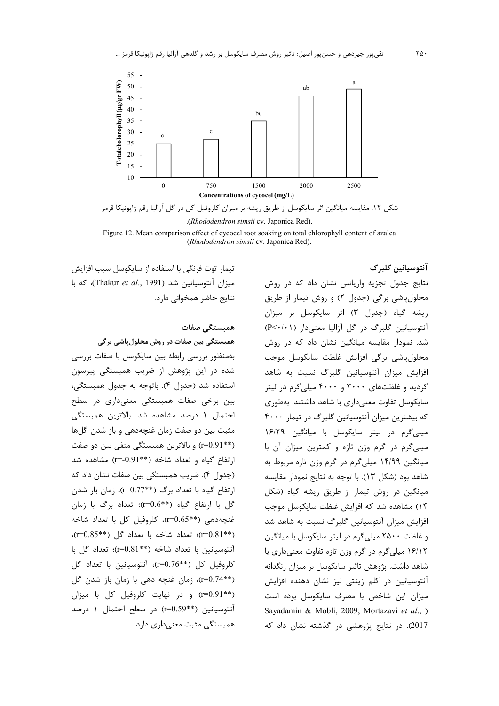

شکل ۱۲. مقایسه میانگین اثر سایکوسل از طریق ریشه بر میزان کلروفیل کل در گل آزالیا رقم ژاپونیکا قرمز .(Rhododendron simsii cv. Japonica Red).

Figure 12. Mean comparison effect of cycocel root soaking on total chlorophyll content of azalea (Rhododendron simsii cv. Japonica Red).

> آنتوسيانين گلبرگ نتایج جدول تجزیه واریانس نشان داد که در روش محلول پاشی برگی (جدول ۲) و روش تیمار از طریق ریشه گیاه (جدول ۳) اثر سایکوسل بر میزان آنتوسیانین گلبرگ در گل آزالیا معنیدار (P<٠/٠١) شد. نمودار مقایسه میانگین نشان داد که در روش محلول پاشی برگی افزایش غلظت سایکوسل موجب افزایش میزان آنتوسیانین گلبرگ نسبت به شاهد گردید و غلظتهای ۳۰۰۰ و ۴۰۰۰ میلی گرم در لیتر سایکوسل تفاوت معنیداری با شاهد داشتند. بهطوری که بیشترین میزان آنتوسیانین گلبرگ در تیمار ۴۰۰۰ میلی گرم در لیتر سایکوسل با میانگین ۱۶/۲۹ میلیگرم در گرم وزن تازه و کمترین میزان آن با میانگین ۱۴/۹۹ میلیگرم در گرم وزن تازه مربوط به شاهد بود (شكل ١٣). با توجه به نتايج نمودار مقايسه میانگین در روش تیمار از طریق ریشه گیاه (شکل ۱۴) مشاهده شد که افزایش غلظت سایکوسل موجب افزایش میزان آنتوسیانین گلبرگ نسبت به شاهد شد و غلظت ۲۵۰۰ میلی گرم در لیتر سایکوسل با میانگین ۱۶/۱۲ میلیگرم در گرم وزن تازه تفاوت معنیداری با شاهد داشت. پژوهش تاثیر سایکوسل بر میزان رنگدانه آنتوسیانین در کلم زینتی نیز نشان دهنده افزایش میزان این شاخص با مصرف سایکوسل بوده است Sayadamin & Mobli, 2009; Mortazavi et al., ) .<br>2017). در نتایج پژوهش*ی* در گذشته نشان داد که

تیمار توت فرنگی با استفاده از سایکوسل سبب افزایش ميزان آنتوسيانين شد (Thakur et al., 1991)، كه با نتایج حاضر همخوانی دارد.

همىستگے صفات

همبستگی بین صفات در روش محلولپاشی برگی بهمنظور بررسی رابطه بین سایکوسل با صفات بررسی شده در این پژوهش از ضریب همبستگی پیرسون استفاده شد (جدول ۴). باتوجه به جدول همبستگی، بین برخی صفات همبستگی معنیداری در سطح احتمال ١ درصد مشاهده شد. بالاترين همبستگي مثبت بين دو صفت زمان غنچهدهي و باز شدن گلها (\*\*1=0.91) و بالاترين همبستگي منفي بين دو صفت ارتفاع گیاه و تعداد شاخه (\*\*0.91) مشاهده شد (جدول ۴). ضريب همبستگي بين صفات نشان داد كه ارتفاع گیاه با تعداد برگ (\*\*r=0.77)، زمان باز شدن گل با ارتفاع گیاه (\*\*r=0.6)؛ تعداد برگ با زمان غنچەدهى (\*\*10.65)، كلروفيل كل با تعداد شاخه (\*\*p=0.81)؛ تعداد شاخه با تعداد گل (\*\*p=0.85). آنتوسیانین با تعداد شاخه (\*\*r=0.81)؛ تعداد گل با كلروفيل كل (\*\*10=0.76)، آنتوسيانين با تعداد گل (\*\*r=0.74)، زمان غنچه دهی با زمان باز شدن گل (\*\*r=0.91) و در نهایت کلروفیل کل با میزان آنتوسیانین (\*\*10.59) در سطح احتمال ۱ درصد همبستگی مثبت معنیداری دارد.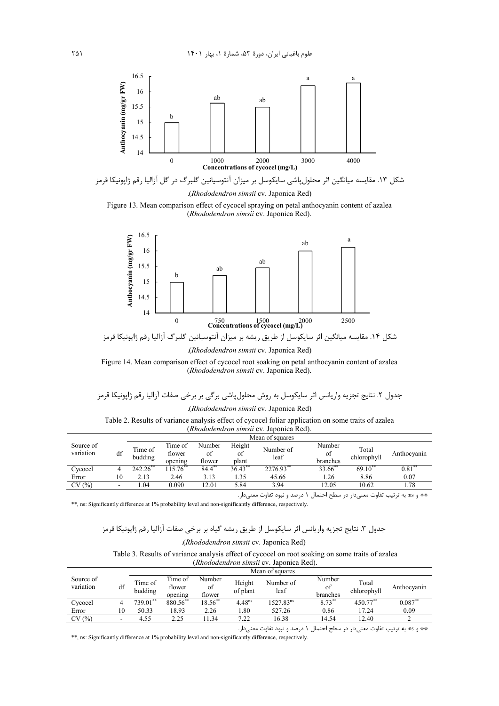

شکل ۱۳. مقایسه میانگین اثر محلولپاشی سایکوسل بر میزان آنتوسیانین گلبرگ در گل آزالیا رقم ژاپونیکا قرمز (Rhododendron simsii cv. Japonica Red)





(Rhododendron simsii cv. Japonica Red).

Figure 14. Mean comparison effect of cycocel root soaking on petal anthocyanin content of azalea (Rhododendron simsii cv. Japonica Red).

(*Rhododendron simsii* cv. Japonica Red).  $\sim$  1.0  $\pm$  $\sim$  10  $\cdot$   $\cdot$   $\cdot$   $\cdot$  $\sim$ 

| Table 2. Results of variance analysis effect of cycocel foliar application on some traits of azalea |                                                |  |  |  |
|-----------------------------------------------------------------------------------------------------|------------------------------------------------|--|--|--|
|                                                                                                     | <i>(Rhododendron simsii cv. Japonica Red).</i> |  |  |  |

|                        |    | Mean of squares    |                   |              |              |                   |                     |                      |                      |
|------------------------|----|--------------------|-------------------|--------------|--------------|-------------------|---------------------|----------------------|----------------------|
| Source of<br>variation | df | Time of<br>budding | Time of<br>flower | Number<br>οt | Height<br>of | Number of<br>leaf | Number<br>of        | Total<br>chlorophyll | Anthocyanin          |
|                        |    |                    | opening           | flower       | plant        |                   | branches            |                      |                      |
| Cycocel                |    | $242.26$ **        | $15.76^{**}$      | $84.4***$    | $36.43$ **   | 2276.93**         | 33.66 <sup>**</sup> | $69.10^{**}$         | $\overline{0.81}$ ** |
| Error                  | 10 | 2.13               | 2.46              | 3.13         | .35          | 45.66             | 1.26                | 8.86                 | 0.07                 |
| CV(%)                  | -  | .04                | 0.090             | 12.01        | 5.84         | 3.94              | 12.05               | 10.62                | 78                   |

\*\* و as: به ترتیب تفاوت معنیدار در سطح احتمال ۱ درصد و نبود تفاوت معنیدار.

\*\*, ns: Significantly difference at 1% probability level and non-significantly difference, respectively.

# .<br>جدول ۳. نتایج تجزیه واریانس اثر سایکوسل از طریق ریشه گیاه بر برخی صفات آزالیا رقم ژاپونیکا قرمز

#### (Rhododendron simsii cv. Japonica Red).

#### Table 3. Results of variance analysis effect of cycocel on root soaking on some traits of azalea

(Rhododendron simsii cv. Japonica Red).

|                        |    | Mean of squares    |                              |                        |                    |                       |                          |                          |             |  |
|------------------------|----|--------------------|------------------------------|------------------------|--------------------|-----------------------|--------------------------|--------------------------|-------------|--|
| Source of<br>variation | df | Time of<br>budding | Time of<br>flower<br>opening | Number<br>οf<br>flower | Height<br>of plant | Number of<br>leaf     | Number<br>of<br>branches | Total<br>chlorophyll     | Anthocyanin |  |
| Cycocel                |    | $739.01$ **        | 880.56**                     | $18.56$ **             | 4.48 <sup>ns</sup> | 1527.83 <sup>ns</sup> | $8.73***$                | $4\overline{50.77}^{**}$ | $0.087$ *   |  |
| Error                  | 10 | 50.33              | 18.93                        | 2.26                   | . 80               | 527.26                | 0.86                     | 17.24                    | 0.09        |  |
| CV(%)                  |    | 4.55               | 2.25                         | .34                    | 7.22               | 16.38                 | 14.54                    | 12.40                    |             |  |

\*\* و ms: به ترتیب تفاوت معنیدار در سطح احتمال ١ درصد و نبود تفاوت معنیدار.

\*\*, ns: Significantly difference at 1% probability level and non-significantly difference, respectively.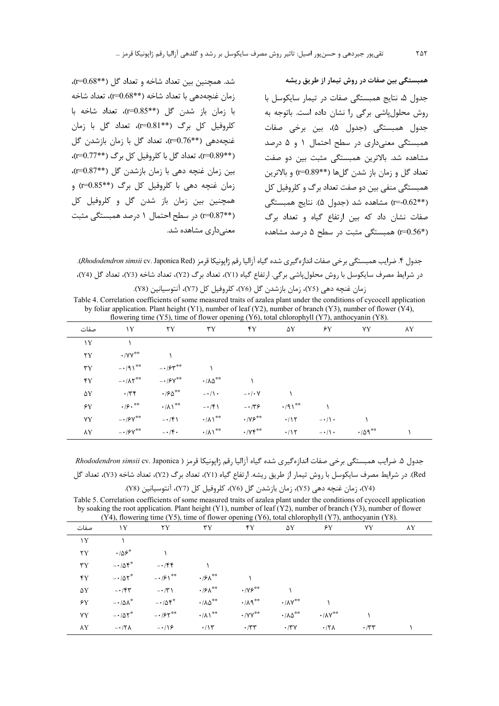شد. همچنین بین تعداد شاخه و تعداد گل (\*\*1=0.68)، زمان غنجهدهی با تعداد شاخه (\*\*0.68)، تعداد شاخه با زمان باز شدن گل (\*\*p=0.85)، تعداد شاخه با کلروفیل کل برگ (\*\*1=0.81)، تعداد گل با زمان غنچەدهى (\*\*10=1)، تعداد گل با زمان بازشدن گل (\*\*1=0.89)، تعداد گل با کلروفیل کل برگ (\*\*10=1)، بین زمان غنچه دهی با زمان بازشدن گل (\*\*1=0.87)، ;مان غنجه دهی با کلروفیل کل برگ (\*\*0.85) و همچنین بین زمان باز شدن گل و کلروفیل کل (\*\*1.87) در سطح احتمال ١ درصد همبستگی مثبت معنىدارى مشاهده شد.

همبستگی بین صفات در روش تیمار از طریق ریشه جدول ۵، نتایج همبستگی صفات در تیمار سایکوسل با روش محلول پاشی برگی را نشان داده است. باتوجه به جدول همبستگي (جدول ۵)، بين برخي صفات همیستگی معنی داری در سطح احتمال ۱ و ۵ درصد مشاهده شد. بالاترین همبستگی مثبت بین دو صفت تعداد گل و زمان باز شدن گل ها (\*\*1.89) و بالاترین همبستگی منفی بین دو صفت تعداد برگ و کلروفیل کل (\*\*10.62) مشاهده شد (جدول ۵). نتايج همبستگي صفات نشان داد که بین ارتفاع گیاه و تعداد برگ (\*1=0.56) همبستگی مثبت در سطح ۵ درصد مشاهده

جدول ۴. ضرايب همبستگي برخي صفات اندازه گيري شده گياه آزاليا رقم ژاپونيكا قرمز (Rhododendron simsii cv. Japonica Red). در شرايط مصرف سايكوسل با روش محلول پاشي برگي. ارتفاع گياه (Y1)، تعداد برگ (Y2)، تعداد شاخه (Y3)، تعداد گل (Y4)، زمان غنچه دهی (Y5)، زمان بازشدن گل (Y6)، کلروفیل کل (Y7)، آنتوسیانین (Y8).

Table 4. Correlation coefficients of some measured traits of azalea plant under the conditions of cycocell application by foliar application. Plant height (Y1), number of leaf (Y2), number of branch (Y3), number of flower (Y4), flowering time  $(Y5)$ , time of flower opening  $(Y6)$ , total chlorophyll  $(Y7)$ , anthocyanin  $(Y8)$ .

| صفات                    | $\mathbf{Y}$                                              | $\mathsf{y}$               | $\tau$ $\Upsilon$           | $\mathbf{Y}$                | ۵Y                        | $\mathcal{L} Y$  | YY             | ٨Y |
|-------------------------|-----------------------------------------------------------|----------------------------|-----------------------------|-----------------------------|---------------------------|------------------|----------------|----|
| Y                       |                                                           |                            |                             |                             |                           |                  |                |    |
| $\mathsf{Y} \mathsf{Y}$ | $\cdot$ /YY $^{\ast\ast}$                                 |                            |                             |                             |                           |                  |                |    |
| $\mathsf{r}_\mathrm{Y}$ | $-191$ <sup>**</sup> $-155$                               |                            |                             |                             |                           |                  |                |    |
| $\mathbf{Y}$            | $ \cdot$ $/$ $\wedge$ $\uparrow$ $\stackrel{\ast}{\cdot}$ | $ \cdot$ /۶۷**             | $\cdot/\lambda\Delta^{***}$ |                             |                           |                  |                |    |
| $\Delta \rm{Y}$         | $\cdot$ /۳۴                                               | $\cdot$ /۶۵ $^{\ast\ast}$  | $-\cdot/ \cdot$             | $- \cdot / \cdot V$         |                           |                  |                |    |
| ۶Y                      | $\cdot$ / $\mathfrak{S}$ . $\overset{\ast\ast}{\cdot}$    | $\cdot/\lambda$ \**        | $-15$                       | $-\cdot$ /۳۶                | $\cdot$ /9) <sup>**</sup> |                  |                |    |
| YY                      | $ \cdot$ /۶۷**                                            | $-1$ $(5)$                 | $\cdot/\lambda$ \**         | $\cdot$ /Y $\varsigma^{**}$ | $\cdot$ /15               | $-\cdot/1$ .     |                |    |
| $\lambda$ Y             | $ \cdot$ /۶۷**                                            | $-1$ $\uparrow$ $\uparrow$ | $\cdot/\lambda$ \**         | $\cdot$ / $Y$ $Y$ **        | $\cdot$ /15               | $-\cdot/(\cdot)$ | $\cdot$ /09 ** |    |

جدول ۵. ضرایب همبستگی برخی صفات اندازهگیری شده گیاه آزالیا رقم ژاپونیکا قرمز ( Rhododendron simsii cv. Japonica Red). در شرايط مصرف سايكوسل با روش تيمار از طريق ريشه. ارتفاع گياه (Y1)، تعداد برگ (Y2)، تعداد شاخه (Y3)، تعداد گل (Y4)، زمان غنچه دهی (Y5)، زمان بازشدن گل (Y6)، كلروفيل كل (Y7)، آنتوسيانين (Y8).

Table 5. Correlation coefficients of some measured traits of azalea plant under the conditions of cycocell application by soaking the root application. Plant height (Y1), number of leaf (Y2), number of branch (Y3), number of flower  $(X<sub>4</sub>)$  flowering time  $(X<sub>5</sub>)$  time of flower opening  $(X<sub>6</sub>)$  total chlorophyll  $(Y<sub>7</sub>)$  anthoro

| صفات                    | ١Y                                    | $14$ ), nowering third (15), third of nower opening (10), total emotophym (17), anthologianii (16).<br>$\mathsf{Y} \mathsf{Y}$ | $\mathbf{r}$                      | $\mathbf{Y}$                       | ۵Y                              | ۶Y                              | YY          | ٨Y |
|-------------------------|---------------------------------------|--------------------------------------------------------------------------------------------------------------------------------|-----------------------------------|------------------------------------|---------------------------------|---------------------------------|-------------|----|
| Y                       |                                       |                                                                                                                                |                                   |                                    |                                 |                                 |             |    |
| $\mathsf{Y} \mathsf{Y}$ | $\cdot$ / $\Delta$ ۶ <sup>*</sup>     |                                                                                                                                |                                   |                                    |                                 |                                 |             |    |
| $\mathbf{r}$            | $-105$                                | $-156$                                                                                                                         |                                   |                                    |                                 |                                 |             |    |
| $\mathbf{Y}$            | $-105$                                | $-151$                                                                                                                         | $\cdot$ /۶ $\wedge$ <sup>**</sup> |                                    |                                 |                                 |             |    |
| $\Delta \rm{Y}$         | $- \cdot / \mathfrak{F} \mathfrak{r}$ | $-\cdot/\tau$                                                                                                                  | $\cdot$ /۶ $\wedge$ <sup>**</sup> | $\cdot$ /Y $\varphi$ <sup>**</sup> |                                 |                                 |             |    |
| ۶Y                      | $-10\lambda^*$                        | $-105$                                                                                                                         | $\cdot/\lambda\Delta^{**}$        | $\cdot/\lambda$ ٩**                | $\cdot/\lambda V$ <sup>**</sup> |                                 |             |    |
| YY                      | $-105$                                | $- \cdot 195$                                                                                                                  | $\cdot/\lambda$ <sup>**</sup>     | $\cdot$ /YY <sup>**</sup>          | $\cdot/\lambda\Delta^{**}$      | $\cdot/\lambda V$ <sup>**</sup> |             |    |
| ٨Y                      | $-17\lambda$                          | $-\cdot/9$                                                                                                                     | $\cdot/\gamma$                    | $\cdot$ /۳۳                        | $\cdot$ /۳۷                     | $\cdot$ /۲۸                     | $\cdot$ /٣٣ |    |

٢۵٢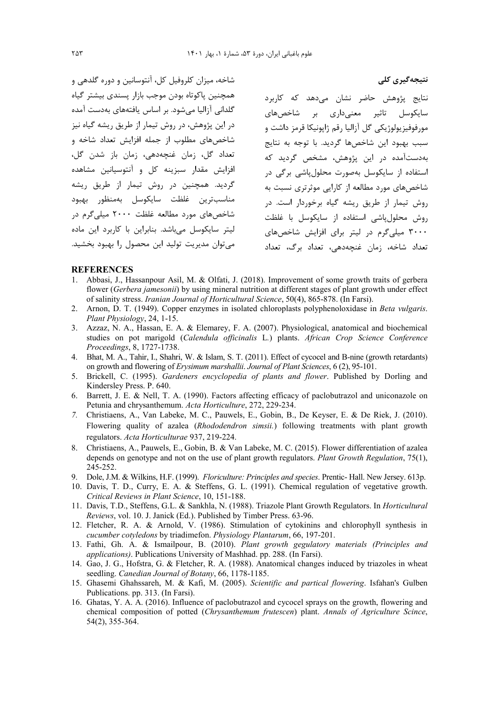شاخه، میزان کلروفیل کل، آنتوسانین و دوره گلدهی و همچنین پاکوتاه بودن موجب بازار پسندی بیشتر گیاه گلدانی آزالیا مے شود. بر اساس یافتههای بهدست آمده در این پژوهش، در روش تیمار از طریق ریشه گیاه نیز شاخصهای مطلوب از جمله افزایش تعداد شاخه و تعداد گل، زمان غنچەدھى، زمان باز شدن گل، افزایش مقدار سبزینه کل و آنتوسیانین مشاهده گردید. همچنین در روش تیمار از طریق ریشه مناسب ترين غلظت سايكوسل بهمنظور بهبود شاخصهای مورد مطالعه غلظت ۲۰۰۰ میلی گرم در لیتر سایکوسل میباشد. بنابراین با کاربرد این ماده می توان مدیریت تولید این محصول را بهبود بخشید.

نتایج پژوهش حاضر نشان میدهد که کاربرد سایکوسل تاثیر معنیداری بر شاخصهای .<br>مورفوفيزيولوژيکي گل آزاليا رقم ژاپونيکا قرمز داشت و سبب پهېود اين شاخصها گړديد. يا توجه په نتايج بهدستآمده د<sub>ر</sub> این پژوهش، مشخص گردید که استفاده از سایکوسل بهصورت محلول پاشی برگی در شاخصهای مورد مطالعه از کارایی موثرتری نسبت به روش تیمار از طریق ریشه گیاه برخوردار است. در روش محلول پاشی استفاده از سایکوسل با غلظت ۳۰۰۰ میلی گرم در لیتر برای افزایش شاخص های تعداد شاخه، زمان غنچەدھی، تعداد برگ، تعداد

نتیجەگیری کلی

#### **REFERENCES**

- 1. Abbasi, J., Hassanpour Asil, M. & Olfati, J. (2018). Improvement of some growth traits of gerbera flower (Gerbera jamesonii) by using mineral nutrition at different stages of plant growth under effect of salinity stress. Iranian Journal of Horticultural Science, 50(4), 865-878. (In Farsi).
- 2. Arnon, D. T. (1949). Copper enzymes in isolated chloroplasts polyphenoloxidase in Beta vulgaris. Plant Physiology, 24, 1-15.
- 3. Azzaz, N. A., Hassan, E. A. & Elemarey, F. A. (2007). Physiological, anatomical and biochemical studies on pot marigold (Calendula officinalis L.) plants. African Crop Science Conference Proceedings, 8, 1727-1738.
- 4. Bhat, M. A., Tahir, I., Shahri, W. & Islam, S. T. (2011). Effect of cycocel and B-nine (growth retardants) on growth and flowering of Erysimum marshallii. Journal of Plant Sciences, 6(2), 95-101.
- 5. Brickell, C. (1995). Gardeners encyclopedia of plants and flower. Published by Dorling and Kindersley Press. P. 640.
- 6. Barrett, J. E. & Nell, T. A. (1990). Factors affecting efficacy of paclobutrazol and uniconazole on Petunia and chrysanthemum. Acta Horticulture, 272, 229-234.
- 7. Christiaens, A., Van Labeke, M. C., Pauwels, E., Gobin, B., De Keyser, E. & De Riek, J. (2010). Flowering quality of azalea (Rhododendron simsii.) following treatments with plant growth regulators. Acta Horticulturae 937, 219-224.
- 8. Christiaens, A., Pauwels, E., Gobin, B. & Van Labeke, M. C. (2015). Flower differentiation of azalea depends on genotype and not on the use of plant growth regulators. Plant Growth Regulation, 75(1), 245-252.
- 9. Dole, J.M. & Wilkins, H.F. (1999). Floriculture: Principles and species. Prentic- Hall. New Jersey. 613p.
- 10. Davis, T. D., Curry, E. A. & Steffens, G. L. (1991). Chemical regulation of vegetative growth. Critical Reviews in Plant Science, 10, 151-188.
- 11. Davis, T.D., Steffens, G.L. & Sankhla, N. (1988). Triazole Plant Growth Regulators. In *Horticultural* Reviews, vol. 10. J. Janick (Ed.). Published by Timber Press. 63-96.
- 12. Fletcher, R. A. & Arnold, V. (1986). Stimulation of cytokinins and chlorophyll synthesis in cucumber cotyledons by triadimefon. Physiology Plantarum, 66, 197-201.
- 13. Fathi, Gh. A. & Ismailpour, B. (2010). Plant growth gegulatory materials (Principles and applications). Publications University of Mashhad. pp. 288. (In Farsi).
- 14. Gao, J. G., Hofstra, G. & Fletcher, R. A. (1988). Anatomical changes induced by triazoles in wheat seedling. Canedian Journal of Botany, 66, 1178-1185.
- 15. Ghasemi Ghahssareh, M. & Kafi, M. (2005). Scientific and partical flowering. Isfahan's Gulben Publications. pp. 313. (In Farsi).
- 16. Ghatas, Y. A. A. (2016). Influence of paclobutrazol and cycocel sprays on the growth, flowering and chemical composition of potted (Chrysanthemum frutescen) plant. Annals of Agriculture Scince, 54(2), 355-364.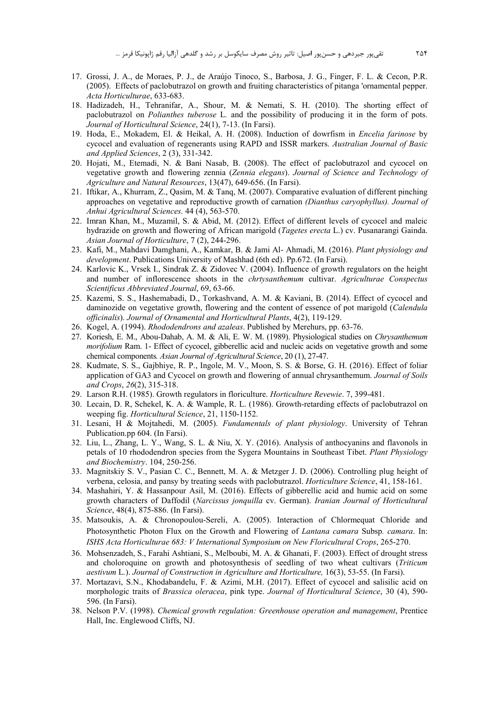- 17. Grossi, J. A., de Moraes, P. J., de Araújo Tinoco, S., Barbosa, J. G., Finger, F. L. & Cecon, P.R. (2005). Effects of paclobutrazol on growth and fruiting characteristics of pitanga 'ornamental pepper. *Acta Horticulturae*, 633-683.
- 18. Hadizadeh, H., Tehranifar, A., Shour, M. & Nemati, S. H. (2010). The shorting effect of paclobutrazol on *Polianthes tuberose* L*.* and the possibility of producing it in the form of pots. *Journal of Horticultural Science*, 24(1), 7-13. (In Farsi).
- 19. Hoda, E., Mokadem, El. & Heikal, A. H. (2008). Induction of dowrfism in *Encelia farinose* by cycocel and evaluation of regenerants using RAPD and ISSR markers. *Australian Journal of Basic and Applied Sciences*, 2 (3), 331-342.
- 20. Hojati, M., Etemadi, N. & Bani Nasab, B. (2008). The effect of paclobutrazol and cycocel on vegetative growth and flowering zennia (*Zennia elegans*). *Journal of Science and Technology of Agriculture and Natural Resources*, 13(47), 649-656. (In Farsi).
- 21. Iftikar, A., Khurram, Z., Qasim, M. & Tanq, M. (2007). Comparative evaluation of different pinching approaches on vegetative and reproductive growth of carnation *(Dianthus caryophyllus). Journal of Anhui Agricultural Sciences.* 44 (4), 563-570.
- 22. Imran Khan, M., Muzamil, S. & Abid, M. (2012). Effect of different levels of cycocel and maleic hydrazide on growth and flowering of African marigold (*Tagetes erecta* L.) cv. Pusanarangi Gainda. *Asian Journal of Horticulture*, 7 (2), 244-296.
- 23. Kafi, M., Mahdavi Damghani, A., Kamkar, B. & Jami Al- Ahmadi, M. (2016). *Plant physiology and development*. Publications University of Mashhad (6th ed). Pp.672. (In Farsi).
- 24. Karlovic K., Vrsek I., Sindrak Z. & Zidovec V. (2004). Influence of growth regulators on the height and number of inflorescence shoots in the *chrtysanthemum* cultivar. *Agriculturae Conspectus Scientificus Abbreviated Journal*, 69, 63-66.
- 25. Kazemi, S. S., Hashemabadi, D., Torkashvand, A. M. & Kaviani, B. (2014). Effect of cycocel and daminozide on vegetative growth, flowering and the content of essence of pot marigold (*Calendula officinalis*). *Journal of Ornamental and Horticultural Plants*, 4(2), 119-129.
- 26. Kogel, A. (1994). *Rhododendrons and azaleas*. Published by Merehurs, pp. 63-76.
- 27. Koriesh, E. M., Abou-Dahab, A. M. & Ali, E. W. M. (1989). Physiological studies on *Chrysanthemum morifolium* Ram. 1- Effect of cycocel, gibberellic acid and nucleic acids on vegetative growth and some chemical components*. Asian Journal of Agricultural Science*, 20 (1), 27-47.
- 28. Kudmate, S. S., Gajbhiye, R. P., Ingole, M. V., Moon, S. S. & Borse, G. H. (2016). Effect of foliar application of GA3 and Cycocel on growth and flowering of annual chrysanthemum. *Journal of Soils and Crops*, *26*(2), 315-318.
- 29. Larson R.H. (1985). Growth regulators in floriculture. *Horticulture Revewie*. 7, 399-481.
- 30. Lecain, D. R, Schekel, K. A. & Wample, R. L. (1986). Growth-retarding effects of paclobutrazol on weeping fig. *Horticultural Science*, 21, 1150-1152.
- 31. Lesani, H & Mojtahedi, M. (2005). *Fundamentals of plant physiology*. University of Tehran Publication.pp 604. (In Farsi).
- 32. Liu, L., Zhang, L. Y., Wang, S. L. & Niu, X. Y. (2016). Analysis of anthocyanins and flavonols in petals of 10 rhododendron species from the Sygera Mountains in Southeast Tibet. *Plant Physiology and Biochemistry*. 104, 250-256.
- 33. Magnitskiy S. V., Pasian C. C., Bennett, M. A. & Metzger J. D. (2006). Controlling plug height of verbena, celosia, and pansy by treating seeds with paclobutrazol. *Horticulture Science*, 41, 158-161.
- 34. Mashahiri, Y. & Hassanpour Asil, M. (2016). Effects of gibberellic acid and humic acid on some growth characters of Daffodil (*Narcissus jonquilla* cv. German). *Iranian Journal of Horticultural Science*, 48(4), 875-886. (In Farsi).
- 35. Matsoukis, A. & Chronopoulou-Sereli, A. (2005). Interaction of Chlormequat Chloride and Photosynthetic Photon Flux on the Growth and Flowering of *Lantana camara* Subsp*. camara*. In: *ISHS Acta Horticulturae 683: V International Symposium on New Floricultural Crops*, 265-270.
- 36. Mohsenzadeh, S., Farahi Ashtiani, S., Melboubi, M. A. & Ghanati, F. (2003). Effect of drought stress and choloroquine on growth and photosynthesis of seedling of two wheat cultivars (*Triticum aestivum* L*.*). *Journal of Construction in Agriculture and Horticulture,* 16(3), 53-55. (In Farsi).
- 37. Mortazavi, S.N., Khodabandelu, F. & Azimi, M.H. (2017). Effect of cycocel and salisilic acid on morphologic traits of *Brassica oleracea*, pink type. *Journal of Horticultural Science*, 30 (4), 590- 596. (In Farsi).
- 38. Nelson P.V. (1998). *Chemical growth regulation: Greenhouse operation and management*, Prentice Hall, Inc. Englewood Cliffs, NJ.